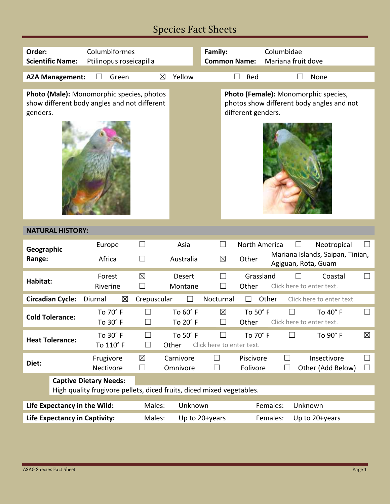# Species Fact Sheets

| Order:<br>Columbiformes<br>Columbidae<br>Family:<br>Ptilinopus roseicapilla<br>Mariana fruit dove<br><b>Scientific Name:</b><br><b>Common Name:</b>                                                               |             |  |  |  |  |  |  |
|-------------------------------------------------------------------------------------------------------------------------------------------------------------------------------------------------------------------|-------------|--|--|--|--|--|--|
| Yellow<br>Green<br>$\boxtimes$<br>Red<br><b>AZA Management:</b><br>None                                                                                                                                           |             |  |  |  |  |  |  |
| Photo (Male): Monomorphic species, photos<br>Photo (Female): Monomorphic species,<br>show different body angles and not different<br>photos show different body angles and not<br>different genders.<br>genders.  |             |  |  |  |  |  |  |
| <b>NATURAL HISTORY:</b>                                                                                                                                                                                           |             |  |  |  |  |  |  |
| Asia<br>North America<br>Neotropical<br>Europe<br>$\sqcup$<br>Geographic<br>Mariana Islands, Saipan, Tinian,<br>Africa<br>$\boxtimes$<br>Other<br>Range:<br>Australia<br>$\vert \ \ \vert$<br>Agiguan, Rota, Guam |             |  |  |  |  |  |  |
| Grassland<br>Forest<br>$\boxtimes$<br><b>Desert</b><br>Coastal<br>Habitat:<br>Riverine<br>Other<br>Click here to enter text.<br>$\Box$<br>Montane                                                                 | $\Box$      |  |  |  |  |  |  |
| <b>Circadian Cycle:</b><br>Diurnal<br>$\boxtimes$<br>Crepuscular<br>Nocturnal<br>Other<br>Click here to enter text.                                                                                               |             |  |  |  |  |  |  |
| To 60° F<br>To 70° F<br>$\boxtimes$<br>To 50° F<br>To 40° F<br><b>Cold Tolerance:</b><br>To 20° F<br>To 30° F<br>Other<br>Click here to enter text.                                                               |             |  |  |  |  |  |  |
| To 30° F<br>To 50° F<br>To 70° F<br>To 90° F<br><b>Heat Tolerance:</b><br>To 110° F<br>Other<br>Click here to enter text.                                                                                         | $\boxtimes$ |  |  |  |  |  |  |
| Insectivore<br>Frugivore<br>$\boxtimes$<br>Carnivore<br>Piscivore<br>$\Box$<br>Diet:<br>Folivore<br>Other (Add Below)<br>Nectivore<br>$\Box$<br>Omnivore<br>$\Box$<br>$\Box$                                      | ⊔<br>$\Box$ |  |  |  |  |  |  |
| <b>Captive Dietary Needs:</b><br>High quality frugivore pellets, diced fruits, diced mixed vegetables.                                                                                                            |             |  |  |  |  |  |  |
| Unknown<br>Life Expectancy in the Wild:<br>Males:<br>Unknown<br>Females:                                                                                                                                          |             |  |  |  |  |  |  |
| <b>Life Expectancy in Captivity:</b><br>Males:<br>Females:<br>Up to 20+years<br>Up to 20+years                                                                                                                    |             |  |  |  |  |  |  |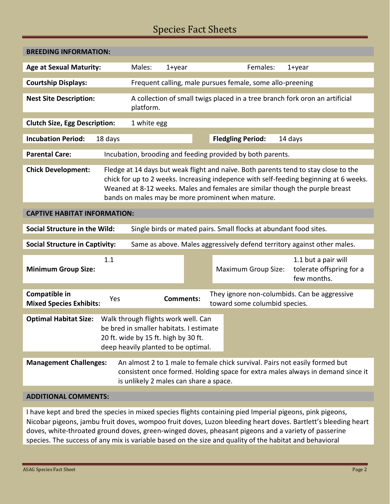## Species Fact Sheets

| <b>BREEDING INFORMATION:</b>                                                                                                                                                                                                                                                                                                                   |         |                                                                                                                                                               |                  |                          |                               |         |                                                                                                                                                                |  |  |
|------------------------------------------------------------------------------------------------------------------------------------------------------------------------------------------------------------------------------------------------------------------------------------------------------------------------------------------------|---------|---------------------------------------------------------------------------------------------------------------------------------------------------------------|------------------|--------------------------|-------------------------------|---------|----------------------------------------------------------------------------------------------------------------------------------------------------------------|--|--|
| <b>Age at Sexual Maturity:</b>                                                                                                                                                                                                                                                                                                                 |         | Males:                                                                                                                                                        | $1 + year$       |                          | Females:                      |         | $1 + year$                                                                                                                                                     |  |  |
| <b>Courtship Displays:</b>                                                                                                                                                                                                                                                                                                                     |         | Frequent calling, male pursues female, some allo-preening                                                                                                     |                  |                          |                               |         |                                                                                                                                                                |  |  |
| <b>Nest Site Description:</b>                                                                                                                                                                                                                                                                                                                  |         | A collection of small twigs placed in a tree branch fork oron an artificial<br>platform.                                                                      |                  |                          |                               |         |                                                                                                                                                                |  |  |
| <b>Clutch Size, Egg Description:</b>                                                                                                                                                                                                                                                                                                           |         | 1 white egg                                                                                                                                                   |                  |                          |                               |         |                                                                                                                                                                |  |  |
| <b>Incubation Period:</b>                                                                                                                                                                                                                                                                                                                      | 18 days |                                                                                                                                                               |                  | <b>Fledgling Period:</b> |                               | 14 days |                                                                                                                                                                |  |  |
| <b>Parental Care:</b>                                                                                                                                                                                                                                                                                                                          |         | Incubation, brooding and feeding provided by both parents.                                                                                                    |                  |                          |                               |         |                                                                                                                                                                |  |  |
| <b>Chick Development:</b><br>Fledge at 14 days but weak flight and naïve. Both parents tend to stay close to the<br>chick for up to 2 weeks. Increasing indepence with self-feeding beginning at 6 weeks.<br>Weaned at 8-12 weeks. Males and females are similar though the purple breast<br>bands on males may be more prominent when mature. |         |                                                                                                                                                               |                  |                          |                               |         |                                                                                                                                                                |  |  |
| <b>CAPTIVE HABITAT INFORMATION:</b>                                                                                                                                                                                                                                                                                                            |         |                                                                                                                                                               |                  |                          |                               |         |                                                                                                                                                                |  |  |
| Social Structure in the Wild:                                                                                                                                                                                                                                                                                                                  |         |                                                                                                                                                               |                  |                          |                               |         |                                                                                                                                                                |  |  |
| Single birds or mated pairs. Small flocks at abundant food sites.<br><b>Social Structure in Captivity:</b><br>Same as above. Males aggressively defend territory against other males.                                                                                                                                                          |         |                                                                                                                                                               |                  |                          |                               |         |                                                                                                                                                                |  |  |
| <b>Minimum Group Size:</b>                                                                                                                                                                                                                                                                                                                     | 1.1     |                                                                                                                                                               |                  |                          | <b>Maximum Group Size:</b>    |         | 1.1 but a pair will<br>tolerate offspring for a<br>few months.                                                                                                 |  |  |
| Compatible in<br><b>Mixed Species Exhibits:</b>                                                                                                                                                                                                                                                                                                | Yes     |                                                                                                                                                               | <b>Comments:</b> |                          | toward some columbid species. |         | They ignore non-columbids. Can be aggressive                                                                                                                   |  |  |
| <b>Optimal Habitat Size:</b>                                                                                                                                                                                                                                                                                                                   |         | Walk through flights work well. Can<br>be bred in smaller habitats. I estimate<br>20 ft. wide by 15 ft. high by 30 ft.<br>deep heavily planted to be optimal. |                  |                          |                               |         |                                                                                                                                                                |  |  |
| <b>Management Challenges:</b>                                                                                                                                                                                                                                                                                                                  |         | is unlikely 2 males can share a space.                                                                                                                        |                  |                          |                               |         | An almost 2 to 1 male to female chick survival. Pairs not easily formed but<br>consistent once formed. Holding space for extra males always in demand since it |  |  |
| INNITIANIAI CANANAENITC                                                                                                                                                                                                                                                                                                                        |         |                                                                                                                                                               |                  |                          |                               |         |                                                                                                                                                                |  |  |

### **ADDITIONAL COMMENTS:**

I have kept and bred the species in mixed species flights containing pied Imperial pigeons, pink pigeons, Nicobar pigeons, jambu fruit doves, wompoo fruit doves, Luzon bleeding heart doves. Bartlett's bleeding heart doves, white-throated ground doves, green-winged doves, pheasant pigeons and a variety of passerine species. The success of any mix is variable based on the size and quality of the habitat and behavioral